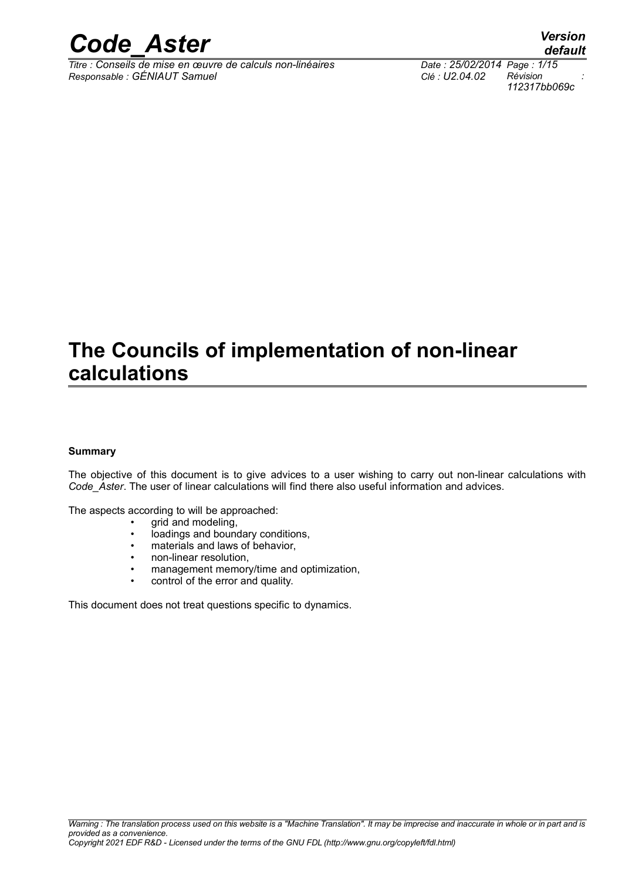

*Titre : Conseils de mise en œuvre de calculs non-linéaires Date : 25/02/2014 Page : 1/15 Responsable : GÉNIAUT Samuel Clé : U2.04.02 Révision :*

## **The Councils of implementation of non-linear calculations**

#### **Summary**

The objective of this document is to give advices to a user wishing to carry out non-linear calculations with *Code\_Aster*. The user of linear calculations will find there also useful information and advices.

The aspects according to will be approached:

- grid and modeling,
- loadings and boundary conditions,
- materials and laws of behavior,
- non-linear resolution,
- management memory/time and optimization,
- control of the error and quality.

This document does not treat questions specific to dynamics.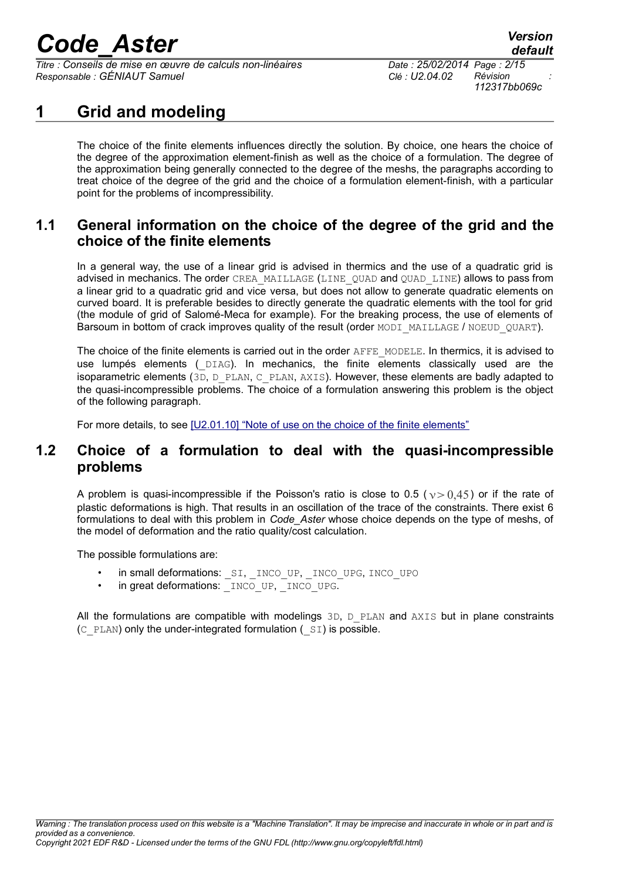*Titre : Conseils de mise en œuvre de calculs non-linéaires Date : 25/02/2014 Page : 2/15 Responsable : GÉNIAUT Samuel Clé : U2.04.02 Révision :*

*112317bb069c*

### **1 Grid and modeling**

The choice of the finite elements influences directly the solution. By choice, one hears the choice of the degree of the approximation element-finish as well as the choice of a formulation. The degree of the approximation being generally connected to the degree of the meshs, the paragraphs according to treat choice of the degree of the grid and the choice of a formulation element-finish, with a particular point for the problems of incompressibility.

#### **1.1 General information on the choice of the degree of the grid and the choice of the finite elements**

In a general way, the use of a linear grid is advised in thermics and the use of a quadratic grid is advised in mechanics. The order CREA\_MAILLAGE (LINE\_QUAD and QUAD\_LINE) allows to pass from a linear grid to a quadratic grid and vice versa, but does not allow to generate quadratic elements on curved board. It is preferable besides to directly generate the quadratic elements with the tool for grid (the module of grid of Salomé-Meca for example). For the breaking process, the use of elements of Barsoum in bottom of crack improves quality of the result (order MODI\_MAILLAGE / NOEUD\_QUART).

The choice of the finite elements is carried out in the order AFFE\_MODELE. In thermics, it is advised to use lumpés elements ( $DIAG)$ . In mechanics, the finite elements classically used are the isoparametric elements ( $3D$ ,  $D$  PLAN, C\_PLAN, AXIS). However, these elements are badly adapted to the quasi-incompressible problems. The choice of a formulation answering this problem is the object of the following paragraph.

For more details, to see [\[U2.01.10\] "Note of use on the choice of the finite elements"](http://www.code-aster.org/V2/doc/default/fr/man_u/u2/u2.01.10.pdf)

#### **1.2 Choice of a formulation to deal with the quasi-incompressible problems**

A problem is quasi-incompressible if the Poisson's ratio is close to 0.5 ( $v > 0.45$ ) or if the rate of plastic deformations is high. That results in an oscillation of the trace of the constraints. There exist 6 formulations to deal with this problem in *Code\_Aster* whose choice depends on the type of meshs, of the model of deformation and the ratio quality/cost calculation.

The possible formulations are:

- in small deformations: SI, INCO UP, INCO UPG, INCO UPO
- in great deformations: INCO\_UP, INCO\_UPG.

All the formulations are compatible with modelings  $3D$ ,  $D$  PLAN and AXIS but in plane constraints  $(C<sub>PLAN</sub>)$  only the under-integrated formulation ( $(SI)$  is possible.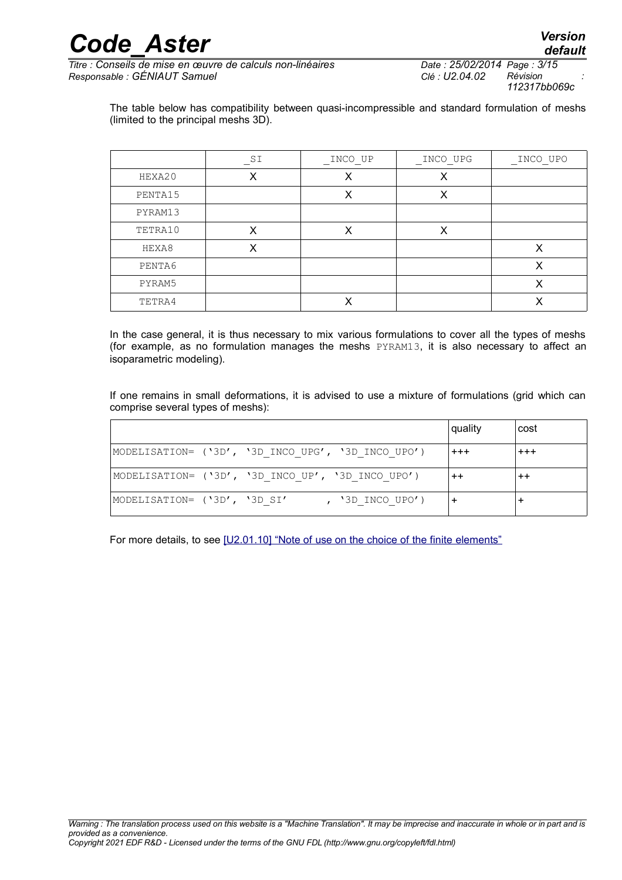$\frac{1}{\text{Time :} \text{Conseils}}$  de mise en œuvre de calculs non-linéaires *Responsable : GÉNIAUT Samuel Clé : U2.04.02 Révision :*

*112317bb069c*

The table below has compatibility between quasi-incompressible and standard formulation of meshs (limited to the principal meshs 3D).

|         | SI | INCO UP | INCO UPG | INCO UPO |
|---------|----|---------|----------|----------|
| HEXA20  | Х  |         | Х        |          |
| PENTA15 |    | X       | X        |          |
| PYRAM13 |    |         |          |          |
| TETRA10 | X  | X       | X        |          |
| HEXA8   | х  |         |          | v        |
| PENTA6  |    |         |          |          |
| PYRAM5  |    |         |          |          |
| TETRA4  |    |         |          |          |

In the case general, it is thus necessary to mix various formulations to cover all the types of meshs (for example, as no formulation manages the meshs PYRAM13, it is also necessary to affect an isoparametric modeling).

If one remains in small deformations, it is advised to use a mixture of formulations (grid which can comprise several types of meshs):

|                                                     | quality  | cost    |
|-----------------------------------------------------|----------|---------|
| MODELISATION= ('3D', '3D INCO UPG', '3D INCO UPO')  | $^{+++}$ | $+ + +$ |
| MODELISATION= ('3D', '3D INCO UP', '3D INCO UPO')   | $^{++}$  |         |
| $ MODELISATION= ('3D', '3D SI'$<br>, '3D INCO UPO') |          |         |

For more details, to see [\[U2.01.10\] "Note of use on the choice of the finite elements"](http://www.code-aster.org/V2/doc/default/fr/man_u/u2/u2.01.10.pdf)

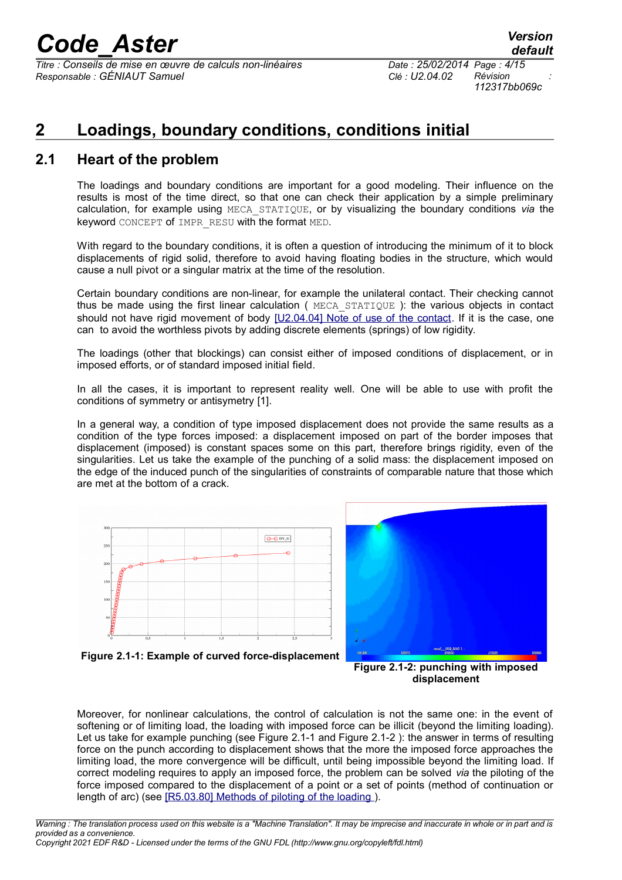*Titre : Conseils de mise en œuvre de calculs non-linéaires Date : 25/02/2014 Page : 4/15 Responsable : GÉNIAUT Samuel Clé : U2.04.02 Révision :*

### **2 Loadings, boundary conditions, conditions initial**

#### **2.1 Heart of the problem**

The loadings and boundary conditions are important for a good modeling. Their influence on the results is most of the time direct, so that one can check their application by a simple preliminary calculation, for example using MECA\_STATIQUE, or by visualizing the boundary conditions *via* the keyword CONCEPT of IMPR\_RESU with the format MED.

With regard to the boundary conditions, it is often a question of introducing the minimum of it to block displacements of rigid solid, therefore to avoid having floating bodies in the structure, which would cause a null pivot or a singular matrix at the time of the resolution.

Certain boundary conditions are non-linear, for example the unilateral contact. Their checking cannot thus be made using the first linear calculation ( MECA\_STATIQUE ): the various objects in contact should not have rigid movement of body [\[U2.04.04\] Note of use of the contact.](http://www.code-aster.org/V2/doc/default/fr/man_u/u2/u2.04.04.pdf) If it is the case, one can to avoid the worthless pivots by adding discrete elements (springs) of low rigidity.

The loadings (other that blockings) can consist either of imposed conditions of displacement, or in imposed efforts, or of standard imposed initial field.

In all the cases, it is important to represent reality well. One will be able to use with profit the conditions of symmetry or antisymetry [1].

In a general way, a condition of type imposed displacement does not provide the same results as a condition of the type forces imposed: a displacement imposed on part of the border imposes that displacement (imposed) is constant spaces some on this part, therefore brings rigidity, even of the singularities. Let us take the example of the punching of a solid mass: the displacement imposed on the edge of the induced punch of the singularities of constraints of comparable nature that those which are met at the bottom of a crack.





**Figure 2.1-1: Example of curved force-displacement**

<span id="page-3-1"></span>**Figure 2.1-2: punching with imposed displacement**

<span id="page-3-0"></span>Moreover, for nonlinear calculations, the control of calculation is not the same one: in the event of softening or of limiting load, the loading with imposed force can be illicit (beyond the limiting loading). Let us take for example punching (see [Figure 2.1-1](#page-3-0) and [Figure 2.1-2](#page-3-1) ): the answer in terms of resulting force on the punch according to displacement shows that the more the imposed force approaches the limiting load, the more convergence will be difficult, until being impossible beyond the limiting load. If correct modeling requires to apply an imposed force, the problem can be solved *via* the piloting of the force imposed compared to the displacement of a point or a set of points (method of continuation or length of arc) (see [\[R5.03.80\] Methods of piloting of the loading](http://www.code-aster.org/V2/doc/default/fr/man_r/r5/r5.03.80.pdf) ).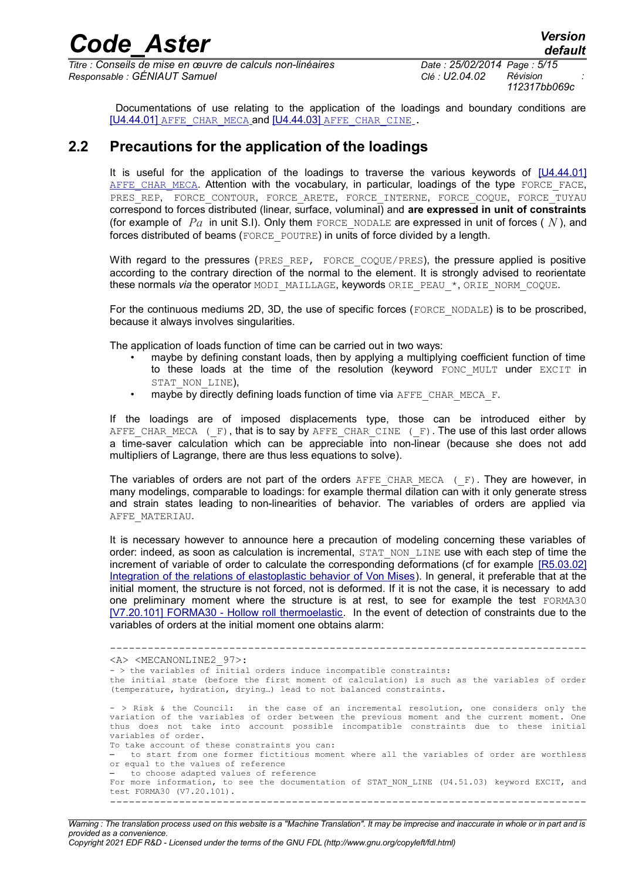*default*

Documentations of use relating to the application of the loadings and boundary conditions are [U4.44.01] [AFFE\\_CHAR\\_MECA](http://www.code-aster.org/V2/doc/default/fr/man_u/u4/u4.44.01.pdf) and [\[U4.44.03\]](http://www.code-aster.org/V2/doc/default/fr/man_u/u4/u4.44.03.pdf) [AFFE\\_CHAR\\_CINE](http://www.code-aster.org/V2/doc/default/fr/man_u/u4/u4.44.03.pdf) .

#### **2.2 Precautions for the application of the loadings**

<span id="page-4-0"></span>It is useful for the application of the loadings to traverse the various keywords of [\[U4.44.01\]](http://www.code-aster.org/V2/doc/default/fr/man_u/u4/u4.44.01.pdf) AFFE CHAR MECA. Attention with the vocabulary, in particular, loadings of the type FORCE FACE, PRES REP, FORCE CONTOUR, FORCE ARETE, FORCE INTERNE, FORCE COQUE, FORCE TUYAU correspond to forces distributed (linear, surface, voluminal) and **are expressed in unit of constraints** (for example of  $Pa$  in unit S.I). Only them FORCE NODALE are expressed in unit of forces ( $N$ ), and forces distributed of beams (FORCE\_POUTRE) in units of force divided by a length.

With regard to the pressures (PRES\_REP, FORCE\_COQUE/PRES), the pressure applied is positive according to the contrary direction of the normal to the element. It is strongly advised to reorientate these normals *via* the operator MODI\_MAILLAGE, keywords ORIE\_PEAU\_\*, ORIE\_NORM\_COQUE.

For the continuous mediums 2D, 3D, the use of specific forces (FORCE\_NODALE) is to be proscribed, because it always involves singularities.

The application of loads function of time can be carried out in two ways:

- maybe by defining constant loads, then by applying a multiplying coefficient function of time to these loads at the time of the resolution (keyword FONC MULT under EXCIT in STAT\_NON\_LINE),
- maybe by directly defining loads function of time via AFFE CHAR MECA F.

If the loadings are of imposed displacements type, those can be introduced either by AFFE CHAR MECA ( $F$ ), that is to say by AFFE CHAR CINE ( $F$ ). The use of this last order allows a time-saver calculation which can be appreciable into non-linear (because she does not add multipliers of Lagrange, there are thus less equations to solve).

The variables of orders are not part of the orders  $AFFE$  CHAR MECA ( $F$ ). They are however, in many modelings, comparable to loadings: for example thermal dilation can with it only generate stress and strain states leading to non-linearities of behavior. The variables of orders are applied via AFFE\_MATERIAU.

It is necessary however to announce here a precaution of modeling concerning these variables of order: indeed, as soon as calculation is incremental, STAT\_NON\_LINE use with each step of time the increment of variable of order to calculate the corresponding deformations (cf for example [\[R5.03.02\]](http://www.code-aster.org/V2/doc/default/fr/man_r/r5/r5.03.02.pdf) [Integration of the relations of elastoplastic behavior of Von Mises\)](http://www.code-aster.org/V2/doc/default/fr/man_r/r5/r5.03.02.pdf). In general, it preferable that at the initial moment, the structure is not forced, not is deformed. If it is not the case, it is necessary to add one preliminary moment where the structure is at rest, to see for example the test FORMA30 [\[V7.20.101\] FORMA30 - Hollow roll thermoelastic.](http://www.code-aster.org/V2/doc/default/fr/man_v/v7/v7.20.101.pdf) In the event of detection of constraints due to the variables of orders at the initial moment one obtains alarm:

---------------------------------------------------------------------------- <A> <MECANONLINE2\_97>:  $-$  > the variables of initial orders induce incompatible constraints: the initial state (before the first moment of calculation) is such as the variables of order (temperature, hydration, drying…) lead to not balanced constraints. - > Risk & the Council: in the case of an incremental resolution, one considers only the variation of the variables of order between the previous moment and the current moment. One thus does not take into account possible incompatible constraints due to these initial variables of order. To take account of these constraints you can: – to start from one former fictitious moment where all the variables of order are worthless or equal to the values of reference – to choose adapted values of reference For more information, to see the documentation of STAT\_NON\_LINE (U4.51.03) keyword EXCIT, and test FORMA30 (V7.20.101). ----------------------------------------------------------------------------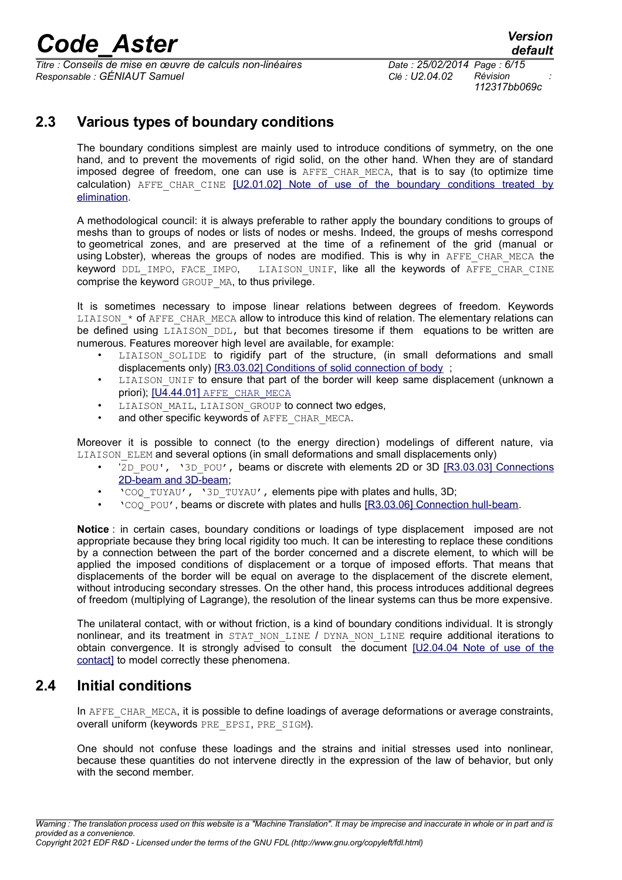*Titre : Conseils de mise en œuvre de calculs non-linéaires Date : 25/02/2014 Page : 6/15 Responsable : GÉNIAUT Samuel Clé : U2.04.02 Révision :*

*112317bb069c*

### **2.3 Various types of boundary conditions**

The boundary conditions simplest are mainly used to introduce conditions of symmetry, on the one hand, and to prevent the movements of rigid solid, on the other hand. When they are of standard imposed degree of freedom, one can use is AFFE CHAR MECA, that is to say (to optimize time calculation) AFFE CHAR CINE [\[U2.01.02\] Note of use of the boundary conditions treated by](http://www.code-aster.org/V2/doc/default/fr/man_u/u2/u2.01.02.pdf) [elimination.](http://www.code-aster.org/V2/doc/default/fr/man_u/u2/u2.01.02.pdf)

A methodological council: it is always preferable to rather apply the boundary conditions to groups of meshs than to groups of nodes or lists of nodes or meshs. Indeed, the groups of meshs correspond to geometrical zones, and are preserved at the time of a refinement of the grid (manual or using Lobster), whereas the groups of nodes are modified. This is why in AFFE CHAR MECA the keyword DDL IMPO, FACE IMPO, LIAISON UNIF, like all the keywords of AFFE CHAR CINE comprise the keyword GROUP MA, to thus privilege.

It is sometimes necessary to impose linear relations between degrees of freedom. Keywords  $LIAISON*$  of AFFE\_CHAR\_MECA allow to introduce this kind of relation. The elementary relations can be defined using LIAISON DDL, but that becomes tiresome if them equations to be written are numerous. Features moreover high level are available, for example:

- LIAISON SOLIDE to rigidify part of the structure, (in small deformations and small displacements only) [\[R3.03.02\] Conditions of solid connection of body](http://www.code-aster.org/V2/doc/default/fr/man_r/r3/r3.03.02.pdf) ;
- LIAISON UNIF to ensure that part of the border will keep same displacement (unknown a priori); [\[U4.44.01\]](http://www.code-aster.org/V2/doc/default/fr/man_u/u4/u4.44.01.pdf) [AFFE\\_CHAR\\_MECA](http://www.code-aster.org/V2/doc/default/fr/man_u/u4/u4.44.01.pdf)
- LIAISON MAIL, LIAISON GROUP to connect two edges,
- and other specific keywords of AFFE\_CHAR\_MECA.

Moreover it is possible to connect (to the energy direction) modelings of different nature, via LIAISON ELEM and several options (in small deformations and small displacements only)

- '2D\_POU', '3D\_POU', beams or discrete with elements 2D or 3D [\[R3.03.03\] Connections](http://www.code-aster.org/V2/doc/default/fr/man_r/r3/r3.03.03.pdf) [2D-beam and 3D-beam;](http://www.code-aster.org/V2/doc/default/fr/man_r/r3/r3.03.03.pdf)
- 'COQ\_TUYAU', '3D\_TUYAU', elements pipe with plates and hulls, 3D;
- 'COQ\_POU', beams or discrete with plates and hulls [\[R3.03.06\] Connection hull-beam.](http://www.code-aster.org/V2/doc/default/fr/man_r/r3/r3.03.06.pdf)

**Notice** : in certain cases, boundary conditions or loadings of type displacement imposed are not appropriate because they bring local rigidity too much. It can be interesting to replace these conditions by a connection between the part of the border concerned and a discrete element, to which will be applied the imposed conditions of displacement or a torque of imposed efforts. That means that displacements of the border will be equal on average to the displacement of the discrete element, without introducing secondary stresses. On the other hand, this process introduces additional degrees of freedom (multiplying of Lagrange), the resolution of the linear systems can thus be more expensive.

The unilateral contact, with or without friction, is a kind of boundary conditions individual. It is strongly nonlinear, and its treatment in STAT NON LINE / DYNA NON LINE require additional iterations to obtain convergence. It is strongly advised to consult the document [\[U2.04.04 Note of use of the](http://www.code-aster.org/V2/doc/default/fr/man_u/u2/u2.04.04.pdf)  [contact\]](http://www.code-aster.org/V2/doc/default/fr/man_u/u2/u2.04.04.pdf) to model correctly these phenomena.

#### **2.4 Initial conditions**

In AFFE CHAR MECA, it is possible to define loadings of average deformations or average constraints, overall uniform (keywords PRE\_EPSI, PRE\_SIGM).

One should not confuse these loadings and the strains and initial stresses used into nonlinear, because these quantities do not intervene directly in the expression of the law of behavior, but only with the second member.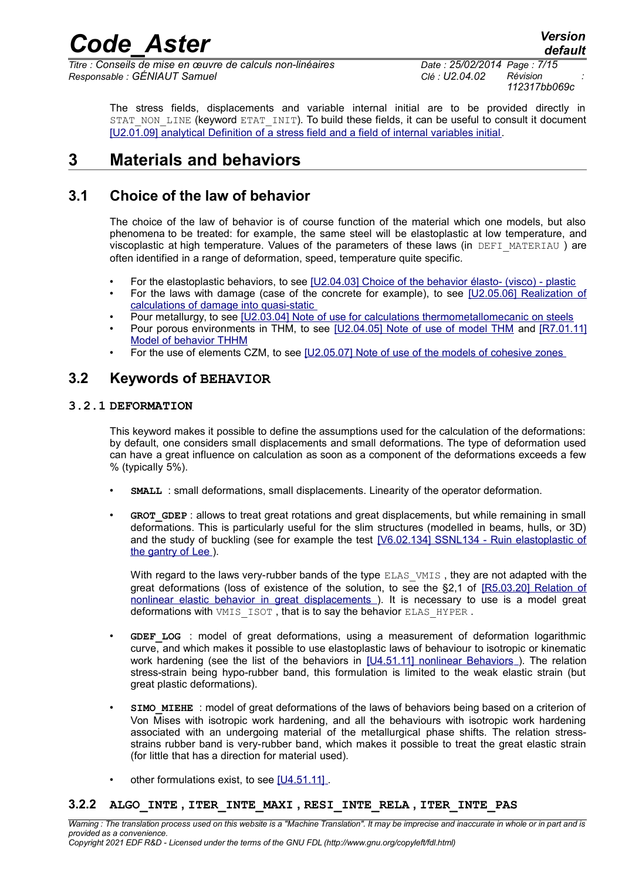*Titre : Conseils de mise en œuvre de calculs non-linéaires Date : 25/02/2014 Page : 7/15 Responsable : GÉNIAUT Samuel Clé : U2.04.02 Révision :*

*default*

The stress fields, displacements and variable internal initial are to be provided directly in STAT\_NON\_LINE (keyword ETAT\_INIT). To build these fields, it can be useful to consult it document [\[U2.01.09\] analytical Definition of a stress field and a field of internal variables initial.](http://www.code-aster.org/V2/doc/default/fr/man_u/u2/u2.01.09.pdf)

### **3 Materials and behaviors**

#### **3.1 Choice of the law of behavior**

The choice of the law of behavior is of course function of the material which one models, but also phenomena to be treated: for example, the same steel will be elastoplastic at low temperature, and viscoplastic at high temperature. Values of the parameters of these laws (in DEFI\_MATERIAU ) are often identified in a range of deformation, speed, temperature quite specific.

- For the elastoplastic behaviors, to see [\[U2.04.03\] Choice of the behavior élasto- \(visco\) plastic](http://www.code-aster.org/V2/doc/default/fr/man_u/u2/u2.04.03.pdf)
- For the laws with damage (case of the concrete for example), to see [\[U2.05.06\] Realization of](http://www.code-aster.org/V2/doc/default/fr/man_u/u2/u2.05.06.pdf)  [calculations of damage into quasi-static](http://www.code-aster.org/V2/doc/default/fr/man_u/u2/u2.05.06.pdf)
- Pour metallurgy, to see [\[U2.03.04\] Note of use for calculations thermometallomecanic on steels](http://www.code-aster.org/V2/doc/default/fr/man_u/u2/u2.03.04.pdf)
- Pour porous environments in THM, to see [\[U2.04.05\] Note of use of model THM](http://www.code-aster.org/V2/doc/default/fr/man_u/u2/u2.04.05.pdf) and [\[R7.01.11\]](http://www.code-aster.org/V2/doc/default/fr/man_r/r7/r7.01.11.pdf) [Model of behavior THHM](http://www.code-aster.org/V2/doc/default/fr/man_r/r7/r7.01.11.pdf)
- For the use of elements CZM, to see [\[U2.05.07\] Note of use of the models of cohesive zones](http://www.code-aster.org/V2/doc/default/fr/man_u/u2/u2.05.07.pdf)

#### **3.2 Keywords of BEHAVIOR**

#### **3.2.1 DEFORMATION**

This keyword makes it possible to define the assumptions used for the calculation of the deformations: by default, one considers small displacements and small deformations. The type of deformation used can have a great influence on calculation as soon as a component of the deformations exceeds a few % (typically 5%).

- **SMALL** : small deformations, small displacements. Linearity of the operator deformation.
- **GROT\_GDEP** : allows to treat great rotations and great displacements, but while remaining in small deformations. This is particularly useful for the slim structures (modelled in beams, hulls, or 3D) and the study of buckling (see for example the test [\[V6.02.134\] SSNL134 - Ruin elastoplastic of](http://www.code-aster.org/V2/doc/default/fr/man_v/v6/v6.02.134.pdf)  [the gantry of Lee](http://www.code-aster.org/V2/doc/default/fr/man_v/v6/v6.02.134.pdf) ).

With regard to the laws very-rubber bands of the type ELAS VMIS, they are not adapted with the great deformations (loss of existence of the solution, to see the §2,1 of [\[R5.03.20\] Relation of](http://www.code-aster.org/V2/doc/default/fr/man_r/r5/r5.03.20.pdf) [nonlinear elastic behavior in great displacements \)](http://www.code-aster.org/V2/doc/default/fr/man_r/r5/r5.03.20.pdf). It is necessary to use is a model great deformations with VMIS ISOT, that is to say the behavior ELAS\_HYPER.

- **GDEF\_LOG** : model of great deformations, using a measurement of deformation logarithmic curve, and which makes it possible to use elastoplastic laws of behaviour to isotropic or kinematic work hardening (see the list of the behaviors in [\[U4.51.11\] nonlinear Behaviors](http://www.code-aster.org/V2/doc/default/fr/man_u/u4/u4.51.11.pdf) ). The relation stress-strain being hypo-rubber band, this formulation is limited to the weak elastic strain (but great plastic deformations).
- **SIMO MIEHE** : model of great deformations of the laws of behaviors being based on a criterion of Von Mises with isotropic work hardening, and all the behaviours with isotropic work hardening associated with an undergoing material of the metallurgical phase shifts. The relation stressstrains rubber band is very-rubber band, which makes it possible to treat the great elastic strain (for little that has a direction for material used).
- other formulations exist, to see [\[U4.51.11\]](http://www.code-aster.org/V2/doc/default/fr/man_u/u4/u4.51.11.pdf).

#### **3.2.2 ALGO\_INTE , ITER\_INTE\_MAXI , RESI\_INTE\_RELA , ITER\_INTE\_PAS**

*Warning : The translation process used on this website is a "Machine Translation". It may be imprecise and inaccurate in whole or in part and is provided as a convenience. Copyright 2021 EDF R&D - Licensed under the terms of the GNU FDL (http://www.gnu.org/copyleft/fdl.html)*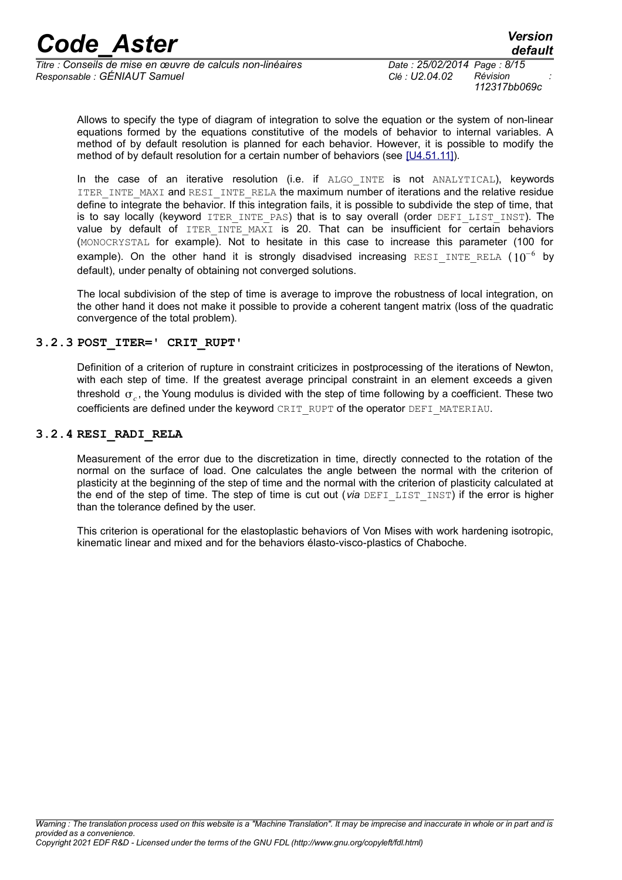*Titre : Conseils de mise en œuvre de calculs non-linéaires Date : 25/02/2014 Page : 8/15 Responsable : GÉNIAUT Samuel Clé : U2.04.02 Révision :*

*default*

Allows to specify the type of diagram of integration to solve the equation or the system of non-linear equations formed by the equations constitutive of the models of behavior to internal variables. A method of by default resolution is planned for each behavior. However, it is possible to modify the method of by default resolution for a certain number of behaviors (see [\[U4.51.11\]\)](http://www.code-aster.org/V2/doc/default/fr/man_u/u4/u4.51.11.pdf).

In the case of an iterative resolution (i.e. if ALGO INTE is not ANALYTICAL), keywords ITER INTE\_MAXI and RESI\_INTE\_RELA the maximum number of iterations and the relative residue define to integrate the behavior. If this integration fails, it is possible to subdivide the step of time, that is to say locally (keyword ITER INTE PAS) that is to say overall (order DEFI LIST INST). The value by default of ITER INTE MAXI is 20. That can be insufficient for certain behaviors (MONOCRYSTAL for example). Not to hesitate in this case to increase this parameter (100 for example). On the other hand it is strongly disadvised increasing  $\texttt{\tiny{REST\_INTER\_REL}}$  ( $10^{-6}$  by default), under penalty of obtaining not converged solutions.

The local subdivision of the step of time is average to improve the robustness of local integration, on the other hand it does not make it possible to provide a coherent tangent matrix (loss of the quadratic convergence of the total problem).

#### **3.2.3 POST\_ITER=' CRIT\_RUPT'**

Definition of a criterion of rupture in constraint criticizes in postprocessing of the iterations of Newton, with each step of time. If the greatest average principal constraint in an element exceeds a given threshold *<sup>c</sup>* , the Young modulus is divided with the step of time following by a coefficient. These two coefficients are defined under the keyword CRIT\_RUPT of the operator DEFI\_MATERIAU.

#### **3.2.4 RESI\_RADI\_RELA**

<span id="page-7-0"></span>Measurement of the error due to the discretization in time, directly connected to the rotation of the normal on the surface of load. One calculates the angle between the normal with the criterion of plasticity at the beginning of the step of time and the normal with the criterion of plasticity calculated at the end of the step of time. The step of time is cut out (*via* DEFI\_LIST\_INST) if the error is higher than the tolerance defined by the user.

This criterion is operational for the elastoplastic behaviors of Von Mises with work hardening isotropic, kinematic linear and mixed and for the behaviors élasto-visco-plastics of Chaboche.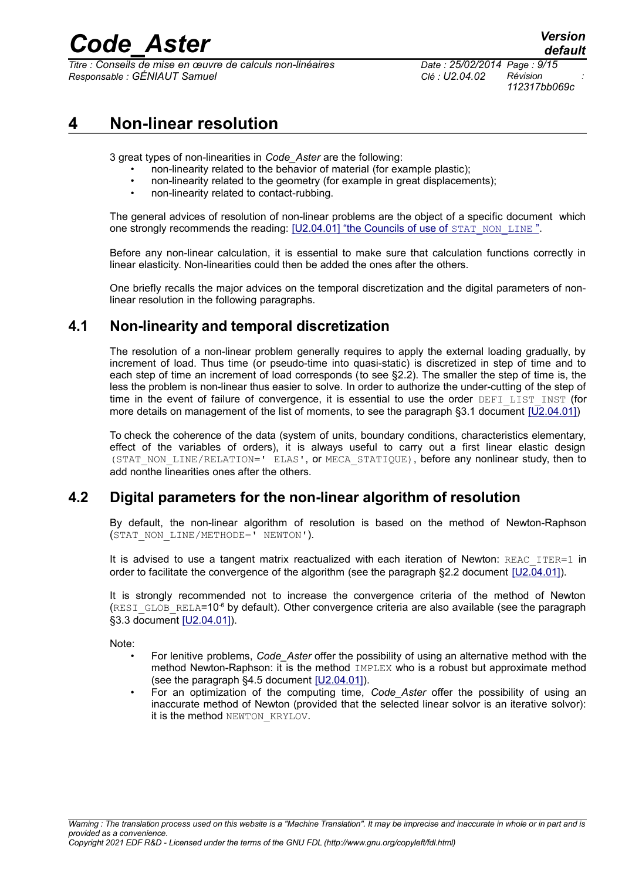*Titre : Conseils de mise en œuvre de calculs non-linéaires Date : 25/02/2014 Page : 9/15 Responsable : GÉNIAUT Samuel Clé : U2.04.02 Révision :*

### **4 Non-linear resolution**

3 great types of non-linearities in *Code\_Aster* are the following:

- non-linearity related to the behavior of material (for example plastic);
- non-linearity related to the geometry (for example in great displacements);
- non-linearity related to contact-rubbing.

The general advices of resolution of non-linear problems are the object of a specific document which one strongly recommends the reading: [\[U2.04.01\] "the Councils of use of](http://www.code-aster.org/V2/doc/default/fr/man_u/u2/u2.04.01.pdf) [STAT\\_NON\\_LINE](http://www.code-aster.org/V2/doc/default/fr/man_u/u2/u2.04.01.pdf)[".](http://www.code-aster.org/V2/doc/default/fr/man_u/u2/u2.04.01.pdf)

Before any non-linear calculation, it is essential to make sure that calculation functions correctly in linear elasticity. Non-linearities could then be added the ones after the others.

One briefly recalls the major advices on the temporal discretization and the digital parameters of nonlinear resolution in the following paragraphs.

#### **4.1 Non-linearity and temporal discretization**

The resolution of a non-linear problem generally requires to apply the external loading gradually, by increment of load. Thus time (or pseudo-time into quasi-static) is discretized in step of time and to each step of time an increment of load corresponds (to see [§2.2\)](#page-4-0). The smaller the step of time is, the less the problem is non-linear thus easier to solve. In order to authorize the under-cutting of the step of time in the event of failure of convergence, it is essential to use the order DEFI\_LIST\_INST (for more details on management of the list of moments, to see the paragraph §3.1 document [\[U2.04.01\]\)](http://www.code-aster.org/V2/doc/default/fr/man_u/u2/u2.04.01.pdf)

To check the coherence of the data (system of units, boundary conditions, characteristics elementary, effect of the variables of orders), it is always useful to carry out a first linear elastic design (STAT\_NON\_LINE/RELATION=' ELAS', or MECA\_STATIQUE), before any nonlinear study, then to add nonthe linearities ones after the others.

#### **4.2 Digital parameters for the non-linear algorithm of resolution**

By default, the non-linear algorithm of resolution is based on the method of Newton-Raphson (STAT\_NON\_LINE/METHODE=' NEWTON').

It is advised to use a tangent matrix reactualized with each iteration of Newton: REAC ITER=1 in order to facilitate the convergence of the algorithm (see the paragraph §2.2 document [\[U2.04.01\]\)](http://www.code-aster.org/V2/doc/default/fr/man_u/u2/u2.04.01.pdf).

It is strongly recommended not to increase the convergence criteria of the method of Newton (RESI\_GLOB\_RELA=10<sup>-6</sup> by default). Other convergence criteria are also available (see the paragraph §3.3 document [\[U2.04.01\]\)](http://www.code-aster.org/V2/doc/default/fr/man_u/u2/u2.04.01.pdf).

Note:

- For lenitive problems, *Code\_Aster* offer the possibility of using an alternative method with the method Newton-Raphson: it is the method IMPLEX who is a robust but approximate method (see the paragraph §4.5 document [\[U2.04.01\]\)](http://www.code-aster.org/V2/doc/default/fr/man_u/u2/u2.04.01.pdf).
- For an optimization of the computing time, *Code\_Aster* offer the possibility of using an inaccurate method of Newton (provided that the selected linear solvor is an iterative solvor): it is the method NEWTON KRYLOV.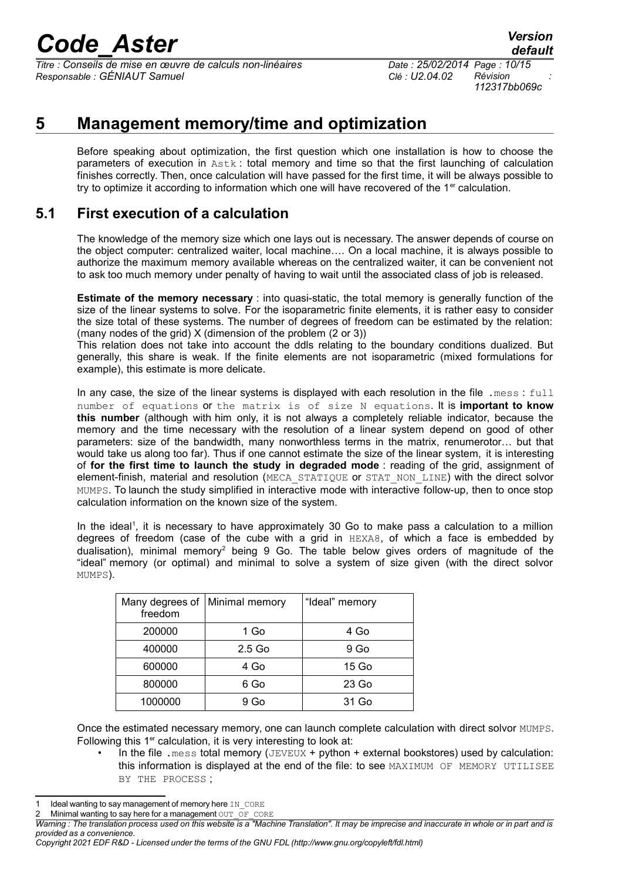*Titre : Conseils de mise en œuvre de calculs non-linéaires Date : 25/02/2014 Page : 10/15 Responsable : GÉNIAUT Samuel Clé : U2.04.02 Révision :*

### **5 Management memory/time and optimization**

Before speaking about optimization, the first question which one installation is how to choose the parameters of execution in Astk : total memory and time so that the first launching of calculation finishes correctly. Then, once calculation will have passed for the first time, it will be always possible to try to optimize it according to information which one will have recovered of the  $1<sup>er</sup>$  calculation.

#### **5.1 First execution of a calculation**

The knowledge of the memory size which one lays out is necessary. The answer depends of course on the object computer: centralized waiter, local machine…. On a local machine, it is always possible to authorize the maximum memory available whereas on the centralized waiter, it can be convenient not to ask too much memory under penalty of having to wait until the associated class of job is released.

**Estimate of the memory necessary** : into quasi-static, the total memory is generally function of the size of the linear systems to solve. For the isoparametric finite elements, it is rather easy to consider the size total of these systems. The number of degrees of freedom can be estimated by the relation: (many nodes of the grid) X (dimension of the problem (2 or 3))

This relation does not take into account the ddls relating to the boundary conditions dualized. But generally, this share is weak. If the finite elements are not isoparametric (mixed formulations for example), this estimate is more delicate.

In any case, the size of the linear systems is displayed with each resolution in the file .mess : full number of equations or the matrix is of size N equations. It is **important to know this number** (although with him only, it is not always a completely reliable indicator, because the memory and the time necessary with the resolution of a linear system depend on good of other parameters: size of the bandwidth, many nonworthless terms in the matrix, renumerotor… but that would take us along too far). Thus if one cannot estimate the size of the linear system, it is interesting of **for the first time to launch the study in degraded mode** : reading of the grid, assignment of element-finish, material and resolution (MECA\_STATIQUE or STAT\_NON\_LINE) with the direct solvor MUMPS. To launch the study simplified in interactive mode with interactive follow-up, then to once stop calculation information on the known size of the system.

In the ideal<sup>[1](#page-9-0)</sup>, it is necessary to have approximately 30 Go to make pass a calculation to a million degrees of freedom (case of the cube with a grid in HEXA8, of which a face is embedded by dualisation), minimal memory<sup>[2](#page-9-1)</sup> being 9 Go. The table below gives orders of magnitude of the "ideal" memory (or optimal) and minimal to solve a system of size given (with the direct solvor MUMPS).

| Many degrees of   Minimal memory<br>freedom |          | "Ideal" memory  |
|---------------------------------------------|----------|-----------------|
| 200000                                      | 1 Go     | 4 Go            |
| 400000                                      | $2.5$ Go | 9 <sub>Go</sub> |
| 600000                                      | 4 Go     | 15 Go           |
| 800000                                      | 6 Go     | 23 Go           |
| 1000000                                     | 9 Go     | 31 Go           |

Once the estimated necessary memory, one can launch complete calculation with direct solvor MUMPS. Following this 1<sup>er</sup> calculation, it is very interesting to look at:

In the file . mess total memory ( $JEVEUX + python + external$  bookstores) used by calculation: this information is displayed at the end of the file: to see MAXIMUM OF MEMORY UTILISEE BY THE PROCESS ;

<span id="page-9-0"></span>Ideal wanting to say management of memory here IN CORE

<span id="page-9-1"></span>Minimal wanting to say here for a management OUT\_OF\_CORE

*Warning : The translation process used on this website is a "Machine Translation". It may be imprecise and inaccurate in whole or in part and is provided as a convenience.*

*Copyright 2021 EDF R&D - Licensed under the terms of the GNU FDL (http://www.gnu.org/copyleft/fdl.html)*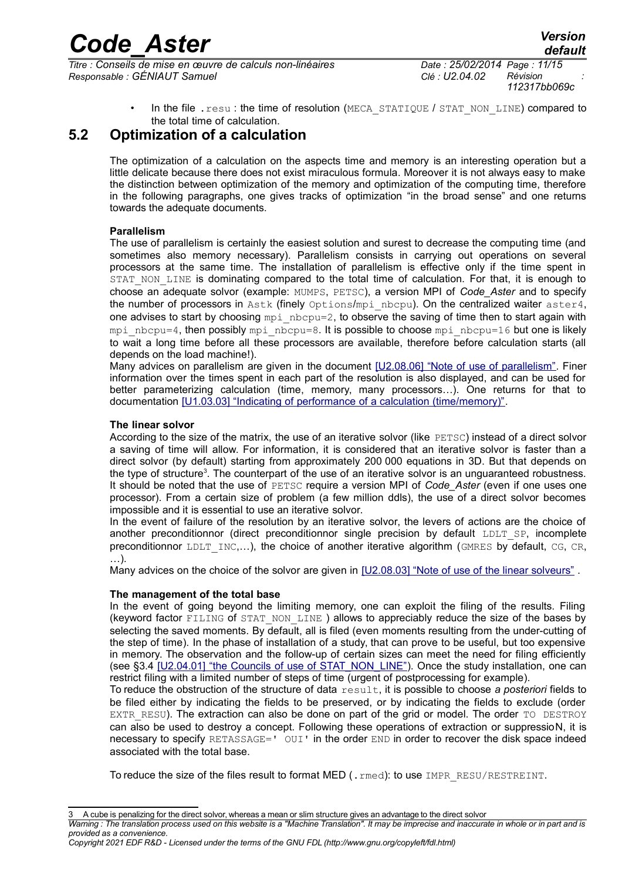*Titre : Conseils de mise en œuvre de calculs non-linéaires Date : 25/02/2014 Page : 11/15 Responsable : GÉNIAUT Samuel Clé : U2.04.02 Révision :*

*112317bb069c*

In the file . resu : the time of resolution (MECA\_STATIQUE / STAT\_NON\_LINE) compared to the total time of calculation.

### **5.2 Optimization of a calculation**

The optimization of a calculation on the aspects time and memory is an interesting operation but a little delicate because there does not exist miraculous formula. Moreover it is not always easy to make the distinction between optimization of the memory and optimization of the computing time, therefore in the following paragraphs, one gives tracks of optimization "in the broad sense" and one returns towards the adequate documents.

#### **Parallelism**

The use of parallelism is certainly the easiest solution and surest to decrease the computing time (and sometimes also memory necessary). Parallelism consists in carrying out operations on several processors at the same time. The installation of parallelism is effective only if the time spent in STAT NON LINE is dominating compared to the total time of calculation. For that, it is enough to choose an adequate solvor (example: MUMPS, PETSC), a version MPI of *Code\_Aster* and to specify the number of processors in Astk (finely Options/mpi\_nbcpu). On the centralized waiter aster4, one advises to start by choosing  $mpi$  nbcpu=2, to observe the saving of time then to start again with mpi\_nbcpu=4, then possibly mpi\_nbcpu=8. It is possible to choose mpi\_nbcpu=16 but one is likely to wait a long time before all these processors are available, therefore before calculation starts (all depends on the load machine!).

Many advices on parallelism are given in the document [\[U2.08.06\] "Note of use of parallelism".](http://www.code-aster.org/V2/doc/default/fr/man_u/u2/u2.08.06.pdf) Finer information over the times spent in each part of the resolution is also displayed, and can be used for better parameterizing calculation (time, memory, many processors…). One returns for that to documentation [\[U1.03.03\] "Indicating of performance of a calculation \(time/memory\)".](http://www.code-aster.org/V2/doc/default/fr/man_u/u1/u1.03.03.pdf)

#### **The linear solvor**

According to the size of the matrix, the use of an iterative solvor (like PETSC) instead of a direct solvor a saving of time will allow. For information, it is considered that an iterative solvor is faster than a direct solvor (by default) starting from approximately 200 000 equations in 3D. But that depends on the type of structure<sup>[3](#page-10-0)</sup>. The counterpart of the use of an iterative solvor is an unguaranteed robustness. It should be noted that the use of PETSC require a version MPI of *Code\_Aster* (even if one uses one processor). From a certain size of problem (a few million ddls), the use of a direct solvor becomes impossible and it is essential to use an iterative solvor.

In the event of failure of the resolution by an iterative solvor, the levers of actions are the choice of another preconditionnor (direct preconditionnor single precision by default LDLT SP, incomplete preconditionnor LDLT\_INC,...), the choice of another iterative algorithm (GMRES by default, CG, CR, …).

Many advices on the choice of the solvor are given in [\[U2.08.03\] "Note of use of the linear solveurs"](http://www.code-aster.org/V2/doc/default/fr/man_u/u2/u2.08.03.pdf).

#### **The management of the total base**

In the event of going beyond the limiting memory, one can exploit the filing of the results. Filing (keyword factor FILING of STAT\_NON\_LINE ) allows to appreciably reduce the size of the bases by selecting the saved moments. By default, all is filed (even moments resulting from the under-cutting of the step of time). In the phase of installation of a study, that can prove to be useful, but too expensive in memory. The observation and the follow-up of certain sizes can meet the need for filing efficiently (see  $\S 3.4$  [\[U2.04.01\] "the Councils of use of STAT\\_NON\\_LINE"\)](http://www.code-aster.org/V2/doc/default/fr/man_u/u2/u2.04.01.pdf). Once the study installation, one can restrict filing with a limited number of steps of time (urgent of postprocessing for example).

To reduce the obstruction of the structure of data result, it is possible to choose *a posteriori* fields to be filed either by indicating the fields to be preserved, or by indicating the fields to exclude (order EXTR RESU). The extraction can also be done on part of the grid or model. The order TO DESTROY can also be used to destroy a concept. Following these operations of extraction or suppressioN, it is necessary to specify RETASSAGE=' OUI' in the order END in order to recover the disk space indeed associated with the total base.

To reduce the size of the files result to format MED (.rmed): to use IMPR\_RESU/RESTREINT.

*Copyright 2021 EDF R&D - Licensed under the terms of the GNU FDL (http://www.gnu.org/copyleft/fdl.html)*

<span id="page-10-0"></span><sup>3</sup> A cube is penalizing for the direct solvor, whereas a mean or slim structure gives an advantage to the direct solvor

*Warning : The translation process used on this website is a "Machine Translation". It may be imprecise and inaccurate in whole or in part and is provided as a convenience.*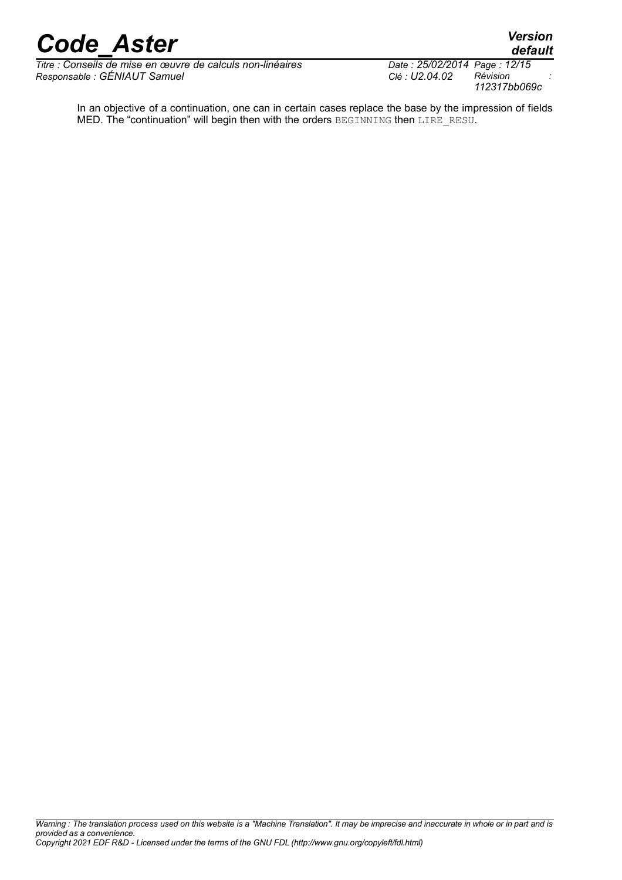*Titre : Conseils de mise en œuvre de calculs non-linéaires Date : 25/02/2014 Page : 12/15 Responsable : GÉNIAUT Samuel Clé : U2.04.02 Révision :*

*112317bb069c*

*default*

In an objective of a continuation, one can in certain cases replace the base by the impression of fields MED. The "continuation" will begin then with the orders BEGINNING then LIRE RESU.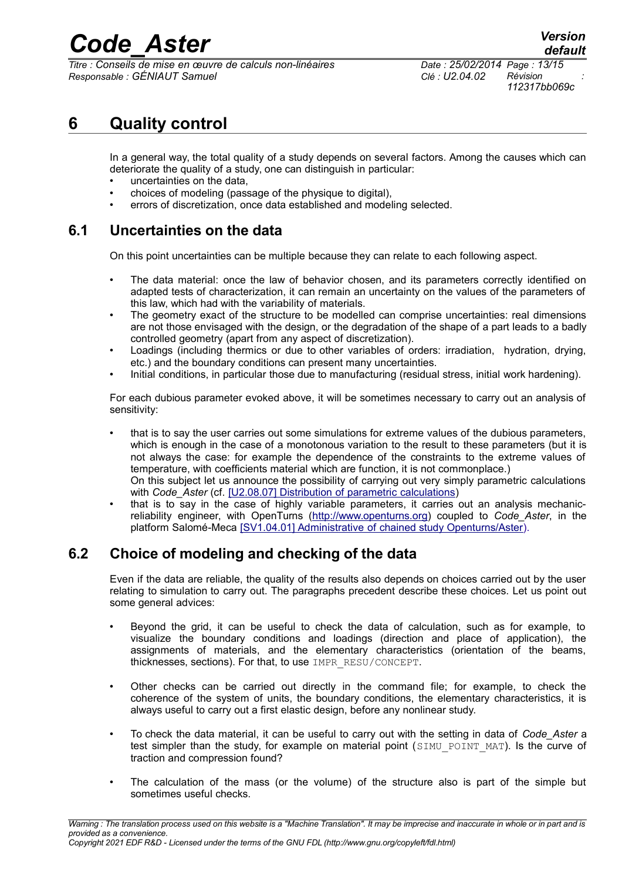*Titre : Conseils de mise en œuvre de calculs non-linéaires Date : 25/02/2014 Page : 13/15 Responsable : GÉNIAUT Samuel Clé : U2.04.02 Révision :*

### **6 Quality control**

In a general way, the total quality of a study depends on several factors. Among the causes which can deteriorate the quality of a study, one can distinguish in particular:

- uncertainties on the data,
- choices of modeling (passage of the physique to digital),
- errors of discretization, once data established and modeling selected.

#### **6.1 Uncertainties on the data**

On this point uncertainties can be multiple because they can relate to each following aspect.

- The data material: once the law of behavior chosen, and its parameters correctly identified on adapted tests of characterization, it can remain an uncertainty on the values of the parameters of this law, which had with the variability of materials.
- The geometry exact of the structure to be modelled can comprise uncertainties: real dimensions are not those envisaged with the design, or the degradation of the shape of a part leads to a badly controlled geometry (apart from any aspect of discretization).
- Loadings (including thermics or due to other variables of orders: irradiation, hydration, drying, etc.) and the boundary conditions can present many uncertainties.
- Initial conditions, in particular those due to manufacturing (residual stress, initial work hardening).

For each dubious parameter evoked above, it will be sometimes necessary to carry out an analysis of sensitivity:

- that is to say the user carries out some simulations for extreme values of the dubious parameters, which is enough in the case of a monotonous variation to the result to these parameters (but it is not always the case: for example the dependence of the constraints to the extreme values of temperature, with coefficients material which are function, it is not commonplace.) On this subject let us announce the possibility of carrying out very simply parametric calculations with *Code* Aster (cf. [\[U2.08.07\] Distribution of parametric calculations\)](http://www.code-aster.org/V2/doc/default/fr/man_u/u2/u2.08.07.pdf)
- that is to say in the case of highly variable parameters, it carries out an analysis mechanicreliability engineer, with OpenTurns [\(http://www.openturns.org\)](http://www.openturns.org/) coupled to *Code\_Aster*, in the platform Salomé-Meca [\[SV1.04.01\] Administrative of chained study Openturns/Aster\)](http://www.code-aster.org/V2/docsmeca/default/fr/intranet/man_sv/sv1/sv1.04.01.pdf).

### **6.2 Choice of modeling and checking of the data**

Even if the data are reliable, the quality of the results also depends on choices carried out by the user relating to simulation to carry out. The paragraphs precedent describe these choices. Let us point out some general advices:

- Beyond the grid, it can be useful to check the data of calculation, such as for example, to visualize the boundary conditions and loadings (direction and place of application), the assignments of materials, and the elementary characteristics (orientation of the beams, thicknesses, sections). For that, to use IMPR\_RESU/CONCEPT.
- Other checks can be carried out directly in the command file; for example, to check the coherence of the system of units, the boundary conditions, the elementary characteristics, it is always useful to carry out a first elastic design, before any nonlinear study.
- To check the data material, it can be useful to carry out with the setting in data of *Code\_Aster* a test simpler than the study, for example on material point (SIMU POINT MAT). Is the curve of traction and compression found?
- The calculation of the mass (or the volume) of the structure also is part of the simple but sometimes useful checks.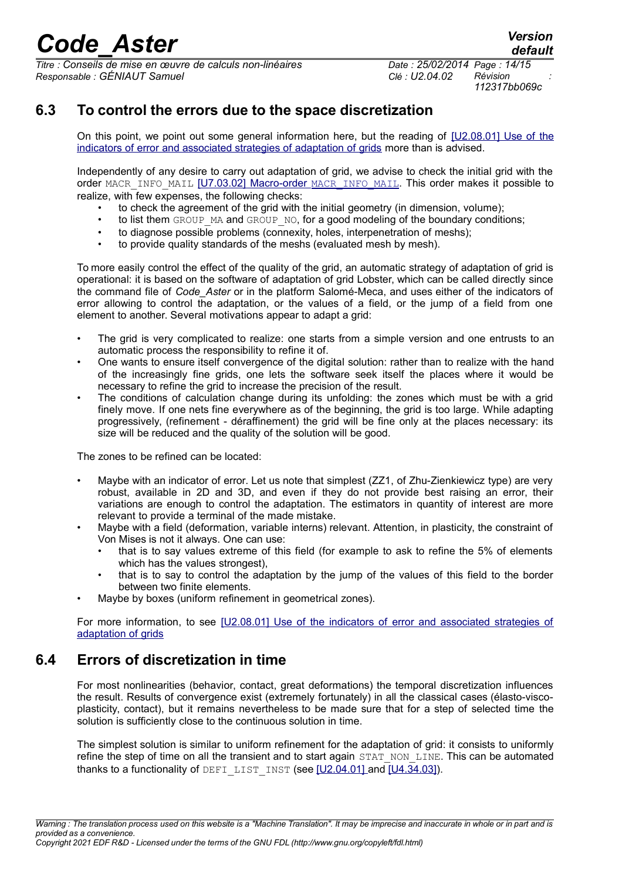*Titre : Conseils de mise en œuvre de calculs non-linéaires Date : 25/02/2014 Page : 14/15 Responsable : GÉNIAUT Samuel Clé : U2.04.02 Révision :*

*default*

### **6.3 To control the errors due to the space discretization**

On this point, we point out some general information here, but the reading of [\[U2.08.01\] Use of the](http://www.code-aster.org/V2/doc/default/fr/man_u/u2/u2.08.01.pdf) [indicators of error and associated strategies of adaptation of grids](http://www.code-aster.org/V2/doc/default/fr/man_u/u2/u2.08.01.pdf) more than is advised.

Independently of any desire to carry out adaptation of grid, we advise to check the initial grid with the order MACR\_INFO\_MAIL [\[U7.03.02\] Macro-order](http://www.code-aster.org/V2/doc/default/fr/man_u/u7/u7.03.02.pdf) [MACR\\_INFO\\_MAIL](http://www.code-aster.org/V2/doc/default/fr/man_u/u7/u7.03.02.pdf). This order makes it possible to realize, with few expenses, the following checks:

- to check the agreement of the grid with the initial geometry (in dimension, volume);
- to list them GROUP\_MA and GROUP\_NO, for a good modeling of the boundary conditions;
- to diagnose possible problems (connexity, holes, interpenetration of meshs);
- to provide quality standards of the meshs (evaluated mesh by mesh).

To more easily control the effect of the quality of the grid, an automatic strategy of adaptation of grid is operational: it is based on the software of adaptation of grid Lobster, which can be called directly since the command file of *Code\_Aster* or in the platform Salomé-Meca, and uses either of the indicators of error allowing to control the adaptation, or the values of a field, or the jump of a field from one element to another. Several motivations appear to adapt a grid:

- The grid is very complicated to realize: one starts from a simple version and one entrusts to an automatic process the responsibility to refine it of.
- One wants to ensure itself convergence of the digital solution: rather than to realize with the hand of the increasingly fine grids, one lets the software seek itself the places where it would be necessary to refine the grid to increase the precision of the result.
- The conditions of calculation change during its unfolding: the zones which must be with a grid finely move. If one nets fine everywhere as of the beginning, the grid is too large. While adapting progressively, (refinement - déraffinement) the grid will be fine only at the places necessary: its size will be reduced and the quality of the solution will be good.

The zones to be refined can be located:

- Maybe with an indicator of error. Let us note that simplest (ZZ1, of Zhu-Zienkiewicz type) are very robust, available in 2D and 3D, and even if they do not provide best raising an error, their variations are enough to control the adaptation. The estimators in quantity of interest are more relevant to provide a terminal of the made mistake.
- Maybe with a field (deformation, variable interns) relevant. Attention, in plasticity, the constraint of Von Mises is not it always. One can use:
	- that is to say values extreme of this field (for example to ask to refine the 5% of elements which has the values strongest).
	- that is to say to control the adaptation by the jump of the values of this field to the border between two finite elements.
- Maybe by boxes (uniform refinement in geometrical zones).

For more information, to see [\[U2.08.01\] Use of the indicators of error and associated strategies of](http://www.code-aster.org/V2/doc/default/fr/man_u/u2/u2.08.01.pdf) [adaptation of grids](http://www.code-aster.org/V2/doc/default/fr/man_u/u2/u2.08.01.pdf)

### **6.4 Errors of discretization in time**

For most nonlinearities (behavior, contact, great deformations) the temporal discretization influences the result. Results of convergence exist (extremely fortunately) in all the classical cases (élasto-viscoplasticity, contact), but it remains nevertheless to be made sure that for a step of selected time the solution is sufficiently close to the continuous solution in time.

The simplest solution is similar to uniform refinement for the adaptation of grid: it consists to uniformly refine the step of time on all the transient and to start again STAT\_NON\_LINE. This can be automated thanks to a functionality of DEFILIST INST (see [\[U2.04.01\] a](http://www.code-aster.org/V2/doc/default/fr/man_u/u2/u2.04.01.pdf)nd [\[U4.34.03\]\)](http://www.code-aster.org/V2/doc/default/fr/man_u/u4/u4.34.03.pdf).